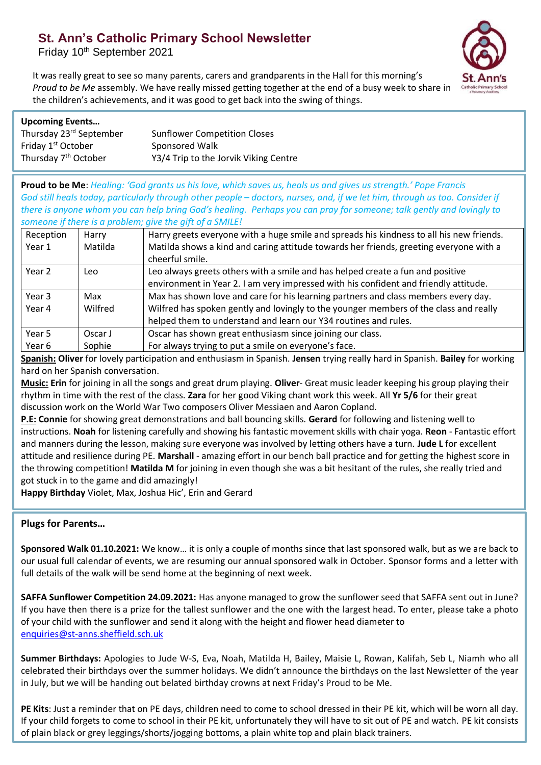# **St. Ann's Catholic Primary School Newsletter**

Friday 10<sup>th</sup> September 2021



It was really great to see so many parents, carers and grandparents in the Hall for this morning's *Proud to be Me* assembly. We have really missed getting together at the end of a busy week to share in the children's achievements, and it was good to get back into the swing of things.

### **Upcoming Events…**

| Thursday 23 <sup>rd</sup> September | <b>Sunflower Competition Closes</b>   |
|-------------------------------------|---------------------------------------|
| Friday 1 <sup>st</sup> October      | Sponsored Walk                        |
| Thursday 7 <sup>th</sup> October    | Y3/4 Trip to the Jorvik Viking Centre |

**Proud to be Me**: *Healing: 'God grants us his love, which saves us, heals us and gives us strength.' Pope Francis God still heals today, particularly through other people – doctors, nurses, and, if we let him, through us too. Consider if there is anyone whom you can help bring God's healing. Perhaps you can pray for someone; talk gently and lovingly to someone if there is a problem; give the gift of a SMILE!*

| Reception | Harry   | Harry greets everyone with a huge smile and spreads his kindness to all his new friends. |
|-----------|---------|------------------------------------------------------------------------------------------|
| Year 1    | Matilda | Matilda shows a kind and caring attitude towards her friends, greeting everyone with a   |
|           |         | cheerful smile.                                                                          |
| Year 2    | Leo     | Leo always greets others with a smile and has helped create a fun and positive           |
|           |         | environment in Year 2. I am very impressed with his confident and friendly attitude.     |
| Year 3    | Max     | Max has shown love and care for his learning partners and class members every day.       |
| Year 4    | Wilfred | Wilfred has spoken gently and lovingly to the younger members of the class and really    |
|           |         | helped them to understand and learn our Y34 routines and rules.                          |
| Year 5    | Oscar J | Oscar has shown great enthusiasm since joining our class.                                |
| Year 6    | Sophie  | For always trying to put a smile on everyone's face.                                     |

**Spanish: Oliver** for lovely participation and enthusiasm in Spanish. **Jensen** trying really hard in Spanish. **Bailey** for working hard on her Spanish conversation.

**Music: Erin** for joining in all the songs and great drum playing. **Oliver**- Great music leader keeping his group playing their rhythm in time with the rest of the class. **Zara** for her good Viking chant work this week. All **Yr 5/6** for their great discussion work on the World War Two composers Oliver Messiaen and Aaron Copland.

**P.E: Connie** for showing great demonstrations and ball bouncing skills. **Gerard** for following and listening well to instructions. **Noah** for listening carefully and showing his fantastic movement skills with chair yoga. **Reon** - Fantastic effort and manners during the lesson, making sure everyone was involved by letting others have a turn. **Jude L** for excellent attitude and resilience during PE. **Marshall** - amazing effort in our bench ball practice and for getting the highest score in the throwing competition! **Matilda M** for joining in even though she was a bit hesitant of the rules, she really tried and got stuck in to the game and did amazingly!

**Happy Birthday** Violet, Max, Joshua Hic', Erin and Gerard

## **Plugs for Parents…**

**Sponsored Walk 01.10.2021:** We know… it is only a couple of months since that last sponsored walk, but as we are back to our usual full calendar of events, we are resuming our annual sponsored walk in October. Sponsor forms and a letter with full details of the walk will be send home at the beginning of next week.

**SAFFA Sunflower Competition 24.09.2021:** Has anyone managed to grow the sunflower seed that SAFFA sent out in June? If you have then there is a prize for the tallest sunflower and the one with the largest head. To enter, please take a photo of your child with the sunflower and send it along with the height and flower head diameter to [enquiries@st-anns.sheffield.sch.uk](mailto:enquiries@st-anns.sheffield.sch.uk)

**Summer Birthdays:** Apologies to Jude W-S, Eva, Noah, Matilda H, Bailey, Maisie L, Rowan, Kalifah, Seb L, Niamh who all celebrated their birthdays over the summer holidays. We didn't announce the birthdays on the last Newsletter of the year in July, but we will be handing out belated birthday crowns at next Friday's Proud to be Me.

**PE Kits**: Just a reminder that on PE days, children need to come to school dressed in their PE kit, which will be worn all day. If your child forgets to come to school in their PE kit, unfortunately they will have to sit out of PE and watch. PE kit consists of plain black or grey leggings/shorts/jogging bottoms, a plain white top and plain black trainers.